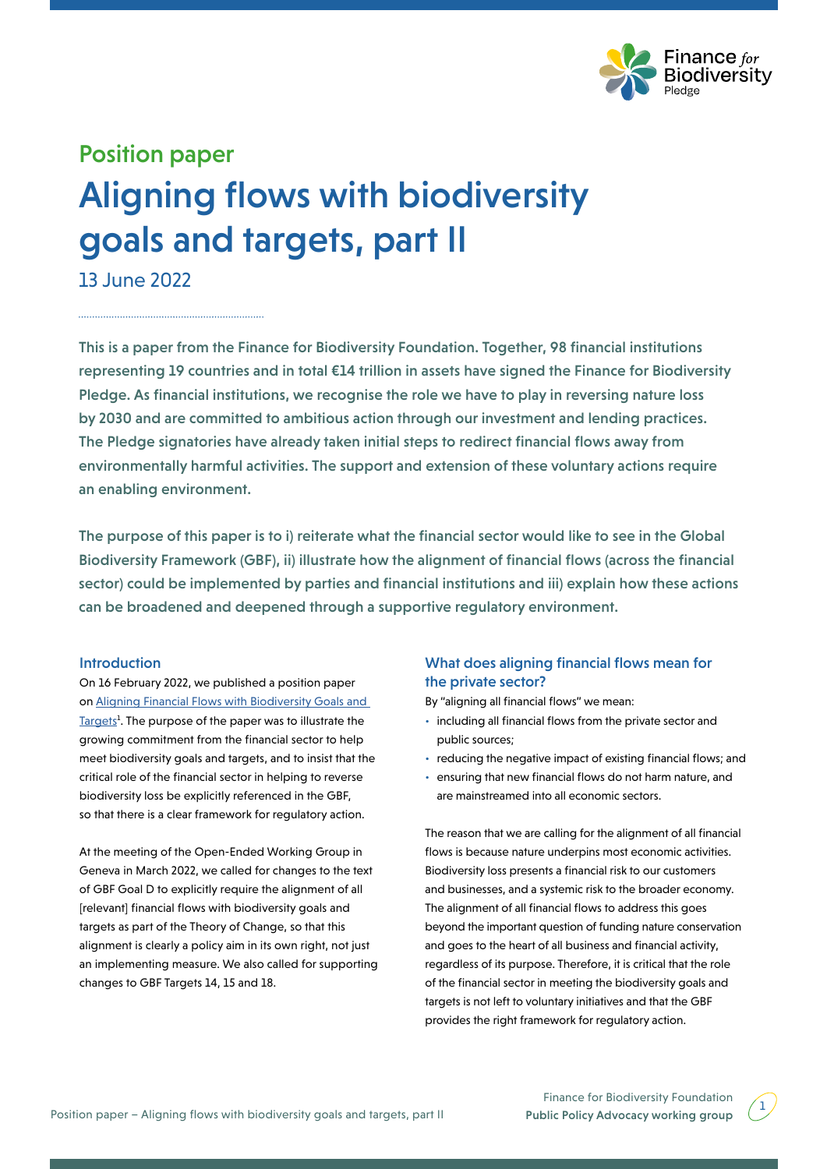

# Position paper Aligning flows with biodiversity goals and targets, part II

13 June 2022

This is a paper from the Finance for Biodiversity Foundation. Together, 98 financial institutions representing 19 countries and in total €14 trillion in assets have signed the Finance for Biodiversity Pledge. As financial institutions, we recognise the role we have to play in reversing nature loss by 2030 and are committed to ambitious action through our investment and lending practices. The Pledge signatories have already taken initial steps to redirect financial flows away from environmentally harmful activities. The support and extension of these voluntary actions require an enabling environment.

The purpose of this paper is to i) reiterate what the financial sector would like to see in the Global Biodiversity Framework (GBF), ii) illustrate how the alignment of financial flows (across the financial sector) could be implemented by parties and financial institutions and iii) explain how these actions can be broadened and deepened through a supportive regulatory environment.

## Introduction

On 16 February 2022, we published a position paper on [Aligning Financial Flows with Biodiversity Goals and](https://www.financeforbiodiversity.org/wp-content/uploads/Finance-for-Biodiversity-Foundation-Paper_Financial_Flows_16Feb2022.pdf)  [Targets](https://www.financeforbiodiversity.org/wp-content/uploads/Finance-for-Biodiversity-Foundation-Paper_Financial_Flows_16Feb2022.pdf)<sup>1</sup>. The purpose of the paper was to illustrate the growing commitment from the financial sector to help meet biodiversity goals and targets, and to insist that the critical role of the financial sector in helping to reverse biodiversity loss be explicitly referenced in the GBF, so that there is a clear framework for regulatory action.

At the meeting of the Open-Ended Working Group in Geneva in March 2022, we called for changes to the text of GBF Goal D to explicitly require the alignment of all [relevant] financial flows with biodiversity goals and targets as part of the Theory of Change, so that this alignment is clearly a policy aim in its own right, not just an implementing measure. We also called for supporting changes to GBF Targets 14, 15 and 18.

## What does aligning financial flows mean for the private sector?

By "aligning all financial flows" we mean:

- including all financial flows from the private sector and public sources;
- reducing the negative impact of existing financial flows; and
- ensuring that new financial flows do not harm nature, and are mainstreamed into all economic sectors.

The reason that we are calling for the alignment of all financial flows is because nature underpins most economic activities. Biodiversity loss presents a financial risk to our customers and businesses, and a systemic risk to the broader economy. The alignment of all financial flows to address this goes beyond the important question of funding nature conservation and goes to the heart of all business and financial activity, regardless of its purpose. Therefore, it is critical that the role of the financial sector in meeting the biodiversity goals and targets is not left to voluntary initiatives and that the GBF provides the right framework for regulatory action.

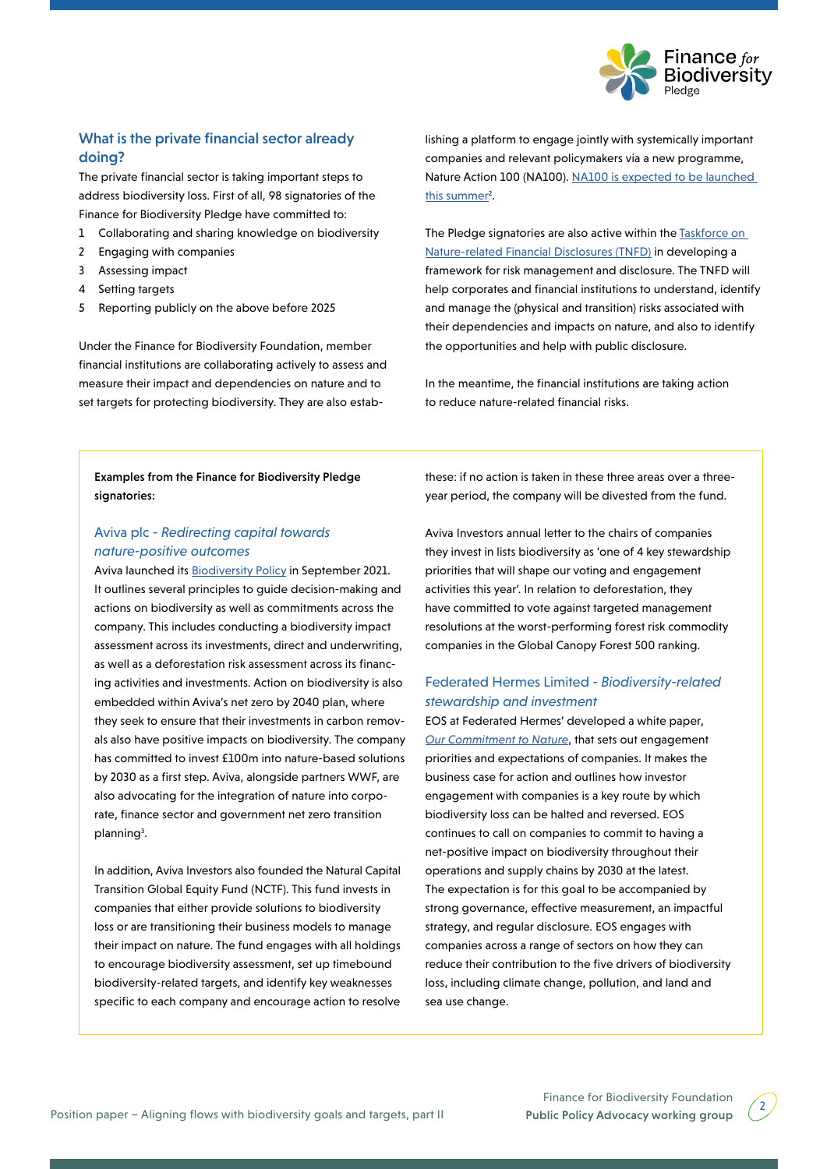

# What is the private financial sector already doing?

The private financial sector is taking important steps to address biodiversity loss. First of all, 98 signatories of the Finance for Biodiversity Pledge have committed to:

- 1 Collaborating and sharing knowledge on biodiversity
- 2 Engaging with companies
- 3 Assessing impact
- 4 Setting targets
- 5 Reporting publicly on the above before 2025

Under the Finance for Biodiversity Foundation, member financial institutions are collaborating actively to assess and measure their impact and dependencies on nature and to set targets for protecting biodiversity. They are also establishing a platform to engage jointly with systemically important companies and relevant policymakers via a new programme, Nature Action 100 (NA100). [NA100 is expected to be launched](https://www.financeforbiodiversity.org/global-investors-developing-new-collaborative-engagement-initiative-to-drive-nature-action/)  this summer<sup>2</sup>.

The Pledge signatories are also active within the Taskforce on [Nature-related Financial Disclosures \(TNFD\)](https://tnfd.global) in developing a framework for risk management and disclosure. The TNFD will help corporates and financial institutions to understand, identify and manage the (physical and transition) risks associated with their dependencies and impacts on nature, and also to identify the opportunities and help with public disclosure.

In the meantime, the financial institutions are taking action to reduce nature-related financial risks.

## Examples from the Finance for Biodiversity Pledge signatories:

## Aviva plc *- Redirecting capital towards nature-positive outcomes*

Aviva launched its [Biodiversity Policy](https://www.wwf.org.uk/sites/default/files/2022-05/Aligning-the-UK-Financial-System-to-Net-Zero.pdf) in September 2021. It outlines several principles to guide decision-making and actions on biodiversity as well as commitments across the company. This includes conducting a biodiversity impact assessment across its investments, direct and underwriting, as well as a deforestation risk assessment across its financing activities and investments. Action on biodiversity is also embedded within Aviva's net zero by 2040 plan, where they seek to ensure that their investments in carbon removals also have positive impacts on biodiversity. The company has committed to invest £100m into nature-based solutions by 2030 as a first step. Aviva, alongside partners WWF, are also advocating for the integration of nature into corporate, finance sector and government net zero transition planning<sup>3</sup>.

In addition, Aviva Investors also founded the Natural Capital Transition Global Equity Fund (NCTF). This fund invests in companies that either provide solutions to biodiversity loss or are transitioning their business models to manage their impact on nature. The fund engages with all holdings to encourage biodiversity assessment, set up timebound biodiversity-related targets, and identify key weaknesses specific to each company and encourage action to resolve

these: if no action is taken in these three areas over a threeyear period, the company will be divested from the fund.

Aviva Investors annual letter to the chairs of companies they invest in lists biodiversity as 'one of 4 key stewardship priorities that will shape our voting and engagement activities this year'. In relation to deforestation, they have committed to vote against targeted management resolutions at the worst-performing forest risk commodity companies in the Global Canopy [Forest 500](https://forest500.org) ranking.

## Federated Hermes Limited *- Biodiversity-related stewardship and investment*

EOS at Federated Hermes' developed a white paper, *[Our Commitment to Nature](https://www.hermes-investment.com/uki/wp-content/uploads/2021/02/eos-our-commitment-to-nature-spreads.pdf)*, that sets out engagement priorities and expectations of companies. It makes the business case for action and outlines how investor engagement with companies is a key route by which biodiversity loss can be halted and reversed. EOS continues to call on companies to commit to having a net-positive impact on biodiversity throughout their operations and supply chains by 2030 at the latest. The expectation is for this goal to be accompanied by strong governance, effective measurement, an impactful strategy, and regular disclosure. EOS engages with companies across a range of sectors on how they can reduce their contribution to the five drivers of biodiversity loss, including climate change, pollution, and land and sea use change.

2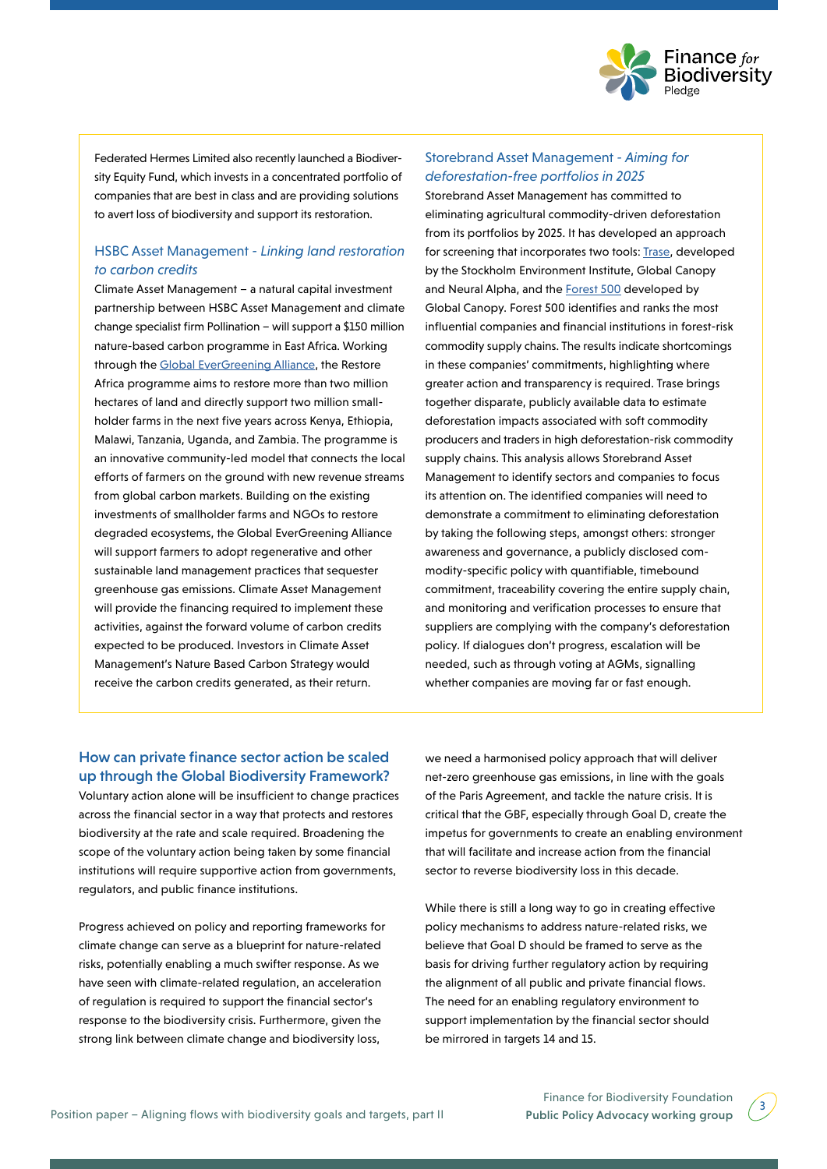

Federated Hermes Limited also recently launched a Biodiversity Equity Fund, which invests in a concentrated portfolio of companies that are best in class and are providing solutions to avert loss of biodiversity and support its restoration.

## HSBC Asset Management *- Linking land restoration to carbon credits*

Climate Asset Management – a natural capital investment partnership between HSBC Asset Management and climate change specialist firm Pollination – will support a \$150 million nature-based carbon programme in East Africa. Working through the [Global EverGreening Alliance,](https://www.evergreening.org) the Restore Africa programme aims to restore more than two million hectares of land and directly support two million smallholder farms in the next five years across Kenya, Ethiopia, Malawi, Tanzania, Uganda, and Zambia. The programme is an innovative community-led model that connects the local efforts of farmers on the ground with new revenue streams from global carbon markets. Building on the existing investments of smallholder farms and NGOs to restore degraded ecosystems, the Global EverGreening Alliance will support farmers to adopt regenerative and other sustainable land management practices that sequester greenhouse gas emissions. Climate Asset Management will provide the financing required to implement these activities, against the forward volume of carbon credits expected to be produced. Investors in Climate Asset Management's Nature Based Carbon Strategy would receive the carbon credits generated, as their return.

## Storebrand Asset Management *- Aiming for deforestation-free portfolios in 2025*

Storebrand Asset Management has committed to eliminating agricultural commodity-driven deforestation from its portfolios by 2025. It has developed an approach for screening that incorporates two tools: [Trase](https://www.trase.earth), developed by the Stockholm Environment Institute, Global Canopy and Neural Alpha, and the **Forest 500** developed by Global Canopy. Forest 500 identifies and ranks the most influential companies and financial institutions in forest-risk commodity supply chains. The results indicate shortcomings in these companies' commitments, highlighting where greater action and transparency is required. Trase brings together disparate, publicly available data to estimate deforestation impacts associated with soft commodity producers and traders in high deforestation-risk commodity supply chains. This analysis allows Storebrand Asset Management to identify sectors and companies to focus its attention on. The identified companies will need to demonstrate a commitment to eliminating deforestation by taking the following steps, amongst others: stronger awareness and governance, a publicly disclosed commodity-specific policy with quantifiable, timebound commitment, traceability covering the entire supply chain, and monitoring and verification processes to ensure that suppliers are complying with the company's deforestation policy. If dialogues don't progress, escalation will be needed, such as through voting at AGMs, signalling whether companies are moving far or fast enough.

## How can private finance sector action be scaled up through the Global Biodiversity Framework?

Voluntary action alone will be insufficient to change practices across the financial sector in a way that protects and restores biodiversity at the rate and scale required. Broadening the scope of the voluntary action being taken by some financial institutions will require supportive action from governments, regulators, and public finance institutions.

Progress achieved on policy and reporting frameworks for climate change can serve as a blueprint for nature-related risks, potentially enabling a much swifter response. As we have seen with climate-related regulation, an acceleration of regulation is required to support the financial sector's response to the biodiversity crisis. Furthermore, given the strong link between climate change and biodiversity loss,

we need a harmonised policy approach that will deliver net-zero greenhouse gas emissions, in line with the goals of the Paris Agreement, and tackle the nature crisis. It is critical that the GBF, especially through Goal D, create the impetus for governments to create an enabling environment that will facilitate and increase action from the financial sector to reverse biodiversity loss in this decade.

While there is still a long way to go in creating effective policy mechanisms to address nature-related risks, we believe that Goal D should be framed to serve as the basis for driving further regulatory action by requiring the alignment of all public and private financial flows. The need for an enabling regulatory environment to support implementation by the financial sector should be mirrored in targets 14 and 15.

 $3<sup>2</sup>$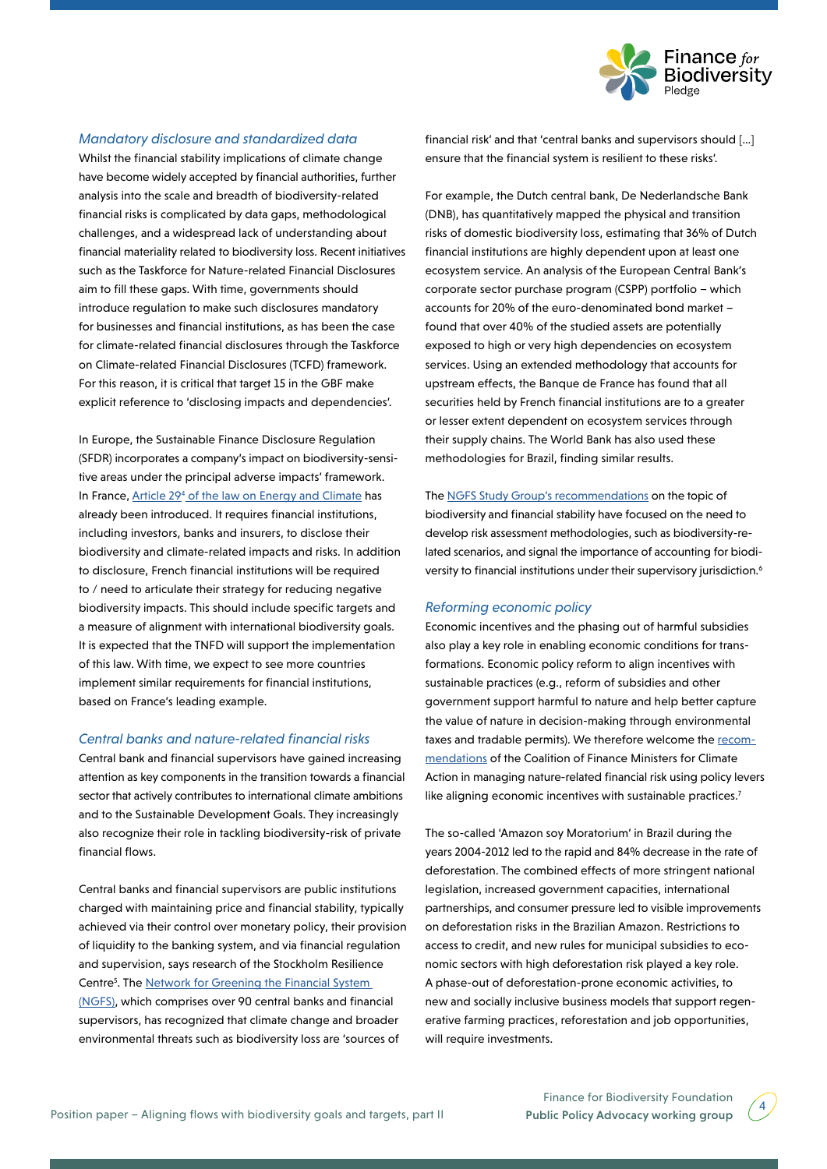

### *Mandatory disclosure and standardized data*

Whilst the financial stability implications of climate change have become widely accepted by financial authorities, further analysis into the scale and breadth of biodiversity-related financial risks is complicated by data gaps, methodological challenges, and a widespread lack of understanding about financial materiality related to biodiversity loss. Recent initiatives such as the Taskforce for Nature-related Financial Disclosures aim to fill these gaps. With time, governments should introduce regulation to make such disclosures mandatory for businesses and financial institutions, as has been the case for climate-related financial disclosures through the Taskforce on Climate-related Financial Disclosures (TCFD) framework. For this reason, it is critical that target 15 in the GBF make explicit reference to 'disclosing impacts and dependencies'.

In Europe, the Sustainable Finance Disclosure Regulation (SFDR) incorporates a company's impact on biodiversity-sensitive areas under the principal adverse impacts' framework. In France, Article 29<sup>4</sup> [of the law on Energy and Climate](https://www.legifrance.gouv.fr/jorf/article_jo/JORFARTI000039355992) has already been introduced. It requires financial institutions, including investors, banks and insurers, to disclose their biodiversity and climate-related impacts and risks. In addition to disclosure, French financial institutions will be required to / need to articulate their strategy for reducing negative biodiversity impacts. This should include specific targets and a measure of alignment with international biodiversity goals. It is expected that the TNFD will support the implementation of this law. With time, we expect to see more countries implement similar requirements for financial institutions, based on France's leading example.

#### *Central banks and nature-related financial risks*

Central bank and financial supervisors have gained increasing attention as key components in the transition towards a financial sector that actively contributes to international climate ambitions and to the Sustainable Development Goals. They increasingly also recognize their role in tackling biodiversity-risk of private financial flows.

Central banks and financial supervisors are public institutions charged with maintaining price and financial stability, typically achieved via their control over monetary policy, their provision of liquidity to the banking system, and via financial regulation and supervision, says research of the Stockholm Resilience Centre<sup>5</sup>. The **[Network for Greening the Financial System](https://www.ngfs.net/en)** (NGFS), which comprises over 90 central banks and financial supervisors, has recognized that climate change and broader environmental threats such as biodiversity loss are 'sources of

financial risk' and that 'central banks and supervisors should […] ensure that the financial system is resilient to these risks'.

For example, the Dutch central bank, De Nederlandsche Bank (DNB), has quantitatively mapped the physical and transition risks of domestic biodiversity loss, estimating that 36% of Dutch financial institutions are highly dependent upon at least one ecosystem service. An analysis of the European Central Bank's corporate sector purchase program (CSPP) portfolio – which accounts for 20% of the euro-denominated bond market – found that over 40% of the studied assets are potentially exposed to high or very high dependencies on ecosystem services. Using an extended methodology that accounts for upstream effects, the Banque de France has found that all securities held by French financial institutions are to a greater or lesser extent dependent on ecosystem services through their supply chains. The World Bank has also used these methodologies for Brazil, finding similar results.

The [NGFS Study Group's recommendations](https://www.inspiregreenfinance.org) on the topic of biodiversity and financial stability have focused on the need to develop risk assessment methodologies, such as biodiversity-related scenarios, and signal the importance of accounting for biodiversity to financial institutions under their supervisory jurisdiction.<sup>6</sup>

#### *Reforming economic policy*

Economic incentives and the phasing out of harmful subsidies also play a key role in enabling economic conditions for transformations. Economic policy reform to align incentives with sustainable practices (e.g., reform of subsidies and other government support harmful to nature and help better capture the value of nature in decision-making through environmental taxes and tradable permits). We therefore welcome the [recom](https://www.financeministersforclimate.org/news/hp5-publishes-report-nature-related-risks-finance-ministries)[mendations](https://www.financeministersforclimate.org/news/hp5-publishes-report-nature-related-risks-finance-ministries) of the Coalition of Finance Ministers for Climate Action in managing nature-related financial risk using policy levers like aligning economic incentives with sustainable practices.<sup>7</sup>

The so-called 'Amazon soy Moratorium' in Brazil during the years 2004-2012 led to the rapid and 84% decrease in the rate of deforestation. The combined effects of more stringent national legislation, increased government capacities, international partnerships, and consumer pressure led to visible improvements on deforestation risks in the Brazilian Amazon. Restrictions to access to credit, and new rules for municipal subsidies to economic sectors with high deforestation risk played a key role. A phase-out of deforestation-prone economic activities, to new and socially inclusive business models that support regenerative farming practices, reforestation and job opportunities, will require investments.

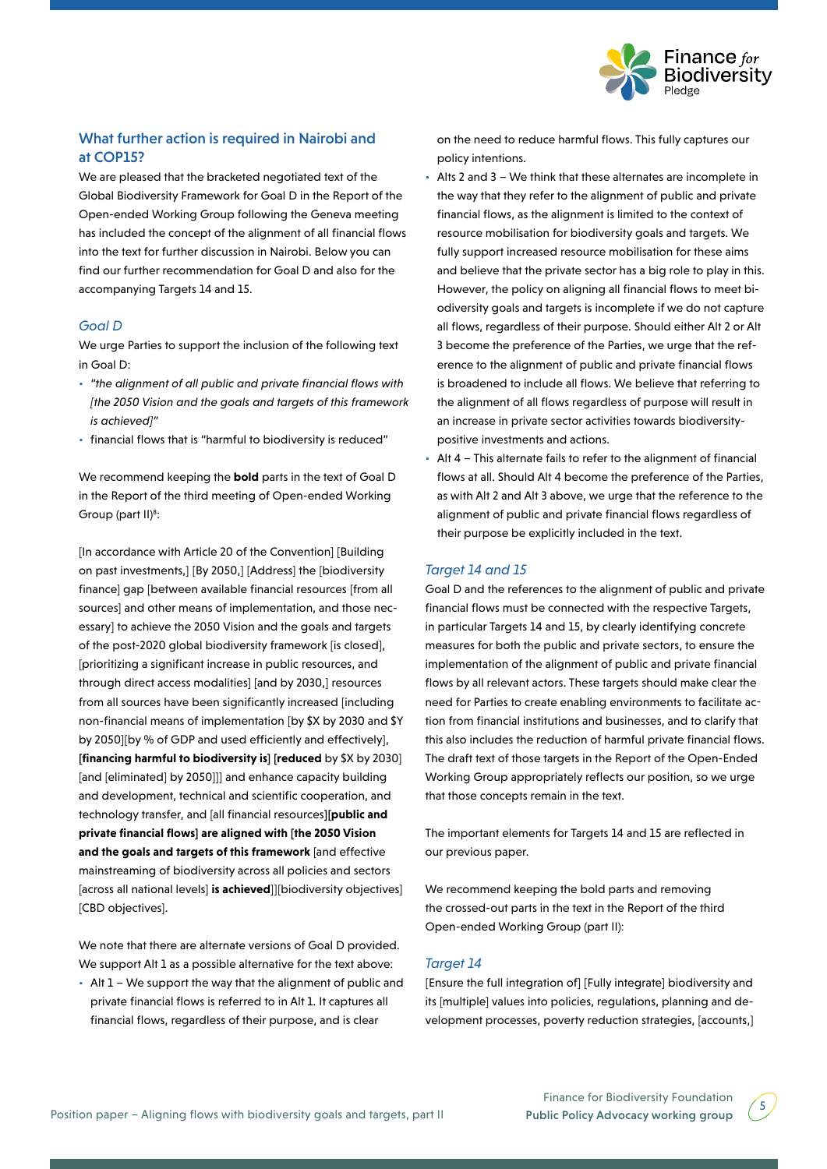

# What further action is required in Nairobi and at COP15?

We are pleased that the bracketed negotiated text of the Global Biodiversity Framework for Goal D in the Report of the Open-ended Working Group following the Geneva meeting has included the concept of the alignment of all financial flows into the text for further discussion in Nairobi. Below you can find our further recommendation for Goal D and also for the accompanying Targets 14 and 15.

#### *Goal D*

We urge Parties to support the inclusion of the following text in Goal D:

- *"the alignment of all public and private financial flows with [the 2050 Vision and the goals and targets of this framework is achieved]"*
- financial flows that is "harmful to biodiversity is reduced"

We recommend keeping the **bold** parts in the text of Goal D in the Report of the third meeting of Open-ended Working Group (part II)<sup>8</sup>:

[In accordance with Article 20 of the Convention] [Building on past investments,] [By 2050,] [Address] the [biodiversity finance] gap [between available financial resources [from all sources] and other means of implementation, and those necessary] to achieve the 2050 Vision and the goals and targets of the post-2020 global biodiversity framework [is closed], [prioritizing a significant increase in public resources, and through direct access modalities] [and by 2030,] resources from all sources have been significantly increased lincluding non-financial means of implementation [by \$X by 2030 and \$Y by 2050][by % of GDP and used efficiently and effectively], **[financing harmful to biodiversity is] [reduced** by \$X by 2030] [and [eliminated] by 2050]]] and enhance capacity building and development, technical and scientific cooperation, and technology transfer, and [all financial resources**][public and private financial flows] are aligned with [the 2050 Vision and the goals and targets of this framework** [and effective mainstreaming of biodiversity across all policies and sectors [across all national levels] **is achieved**]][biodiversity objectives] [CBD objectives].

We note that there are alternate versions of Goal D provided. We support Alt 1 as a possible alternative for the text above:

• Alt 1 – We support the way that the alignment of public and private financial flows is referred to in Alt 1. It captures all financial flows, regardless of their purpose, and is clear

on the need to reduce harmful flows. This fully captures our policy intentions.

- Alts 2 and 3 We think that these alternates are incomplete in the way that they refer to the alignment of public and private financial flows, as the alignment is limited to the context of resource mobilisation for biodiversity goals and targets. We fully support increased resource mobilisation for these aims and believe that the private sector has a big role to play in this. However, the policy on aligning all financial flows to meet biodiversity goals and targets is incomplete if we do not capture all flows, regardless of their purpose. Should either Alt 2 or Alt 3 become the preference of the Parties, we urge that the reference to the alignment of public and private financial flows is broadened to include all flows. We believe that referring to the alignment of all flows regardless of purpose will result in an increase in private sector activities towards biodiversitypositive investments and actions.
- Alt 4 This alternate fails to refer to the alignment of financial flows at all. Should Alt 4 become the preference of the Parties, as with Alt 2 and Alt 3 above, we urge that the reference to the alignment of public and private financial flows regardless of their purpose be explicitly included in the text.

## *Target 14 and 15*

Goal D and the references to the alignment of public and private financial flows must be connected with the respective Targets, in particular Targets 14 and 15, by clearly identifying concrete measures for both the public and private sectors, to ensure the implementation of the alignment of public and private financial flows by all relevant actors. These targets should make clear the need for Parties to create enabling environments to facilitate action from financial institutions and businesses, and to clarify that this also includes the reduction of harmful private financial flows. The draft text of those targets in the Report of the Open-Ended Working Group appropriately reflects our position, so we urge that those concepts remain in the text.

The important elements for Targets 14 and 15 are reflected in our previous paper.

We recommend keeping the bold parts and removing the crossed-out parts in the text in the Report of the third Open-ended Working Group (part II):

#### *Target 14*

[Ensure the full integration of] [Fully integrate] biodiversity and its [multiple] values into policies, regulations, planning and development processes, poverty reduction strategies, [accounts,]